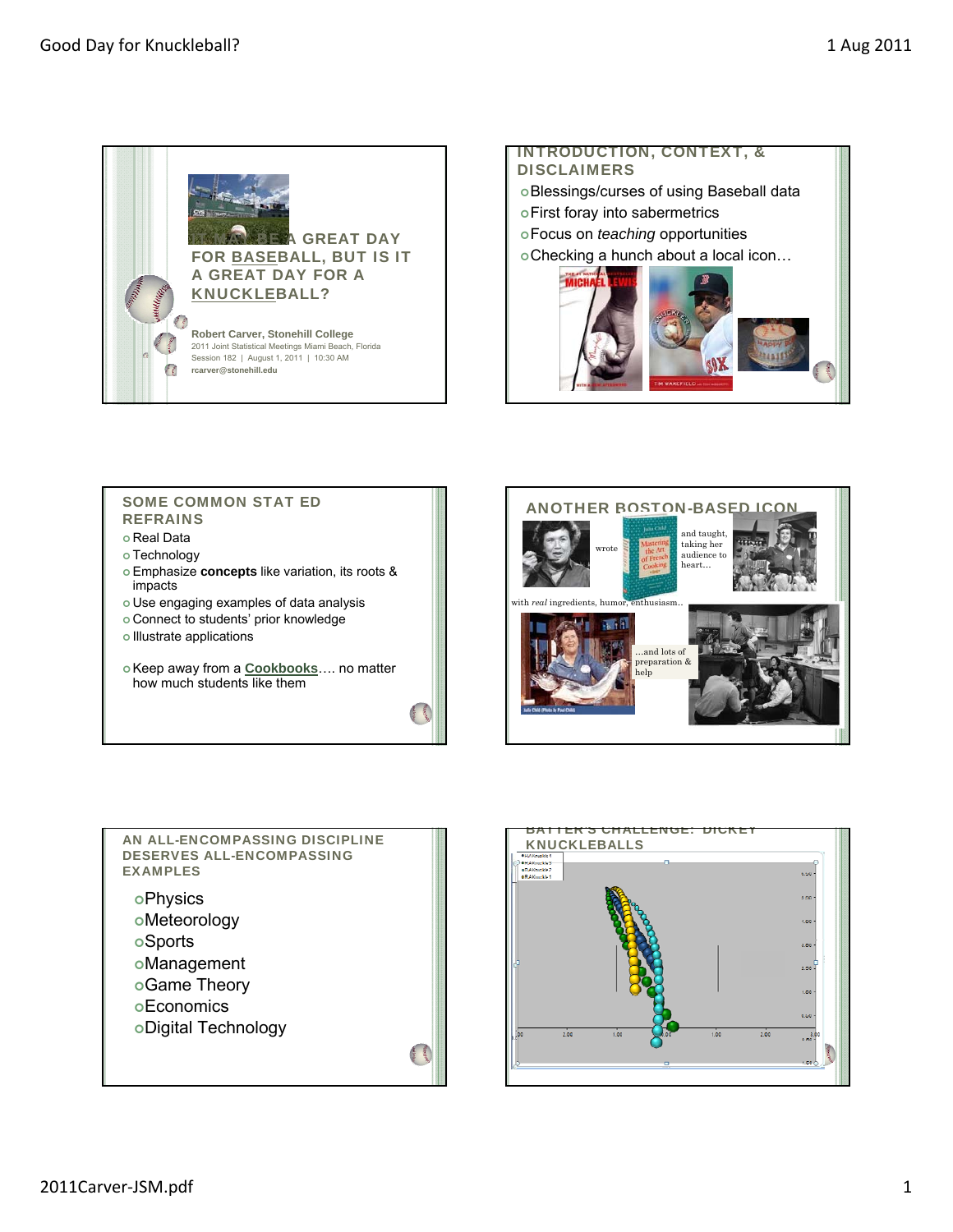

### INTRODUCTION, CONTEXT, & **DISCLAIMERS**

- Blessings/curses of using Baseball data
- First foray into sabermetrics
- Focus on *teaching* opportunities
- Checking a hunch about a local icon…



# SOME COMMON STAT ED REFRAINS

- Real Data
- o Technology
- Emphasize **concepts** like variation, its roots & impacts
- Use engaging examples of data analysis
- Connect to students' prior knowledge
- o Illustrate applications
- Keep away from a **Cookbooks**…. no matter how much students like them

大阪 大阪





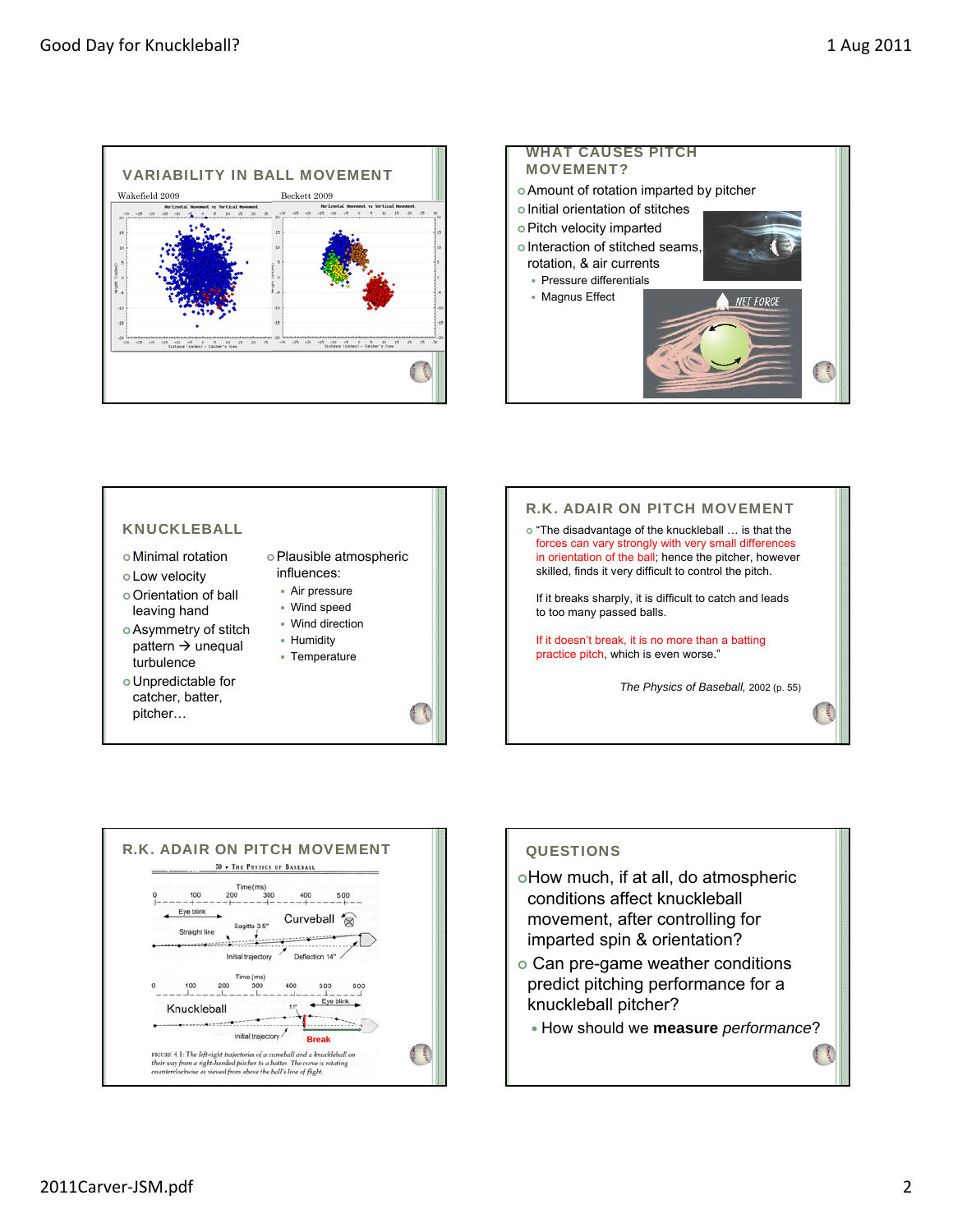









### **QUESTIONS**

- oHow much, if at all, do atmospheric conditions affect knuckleball movement, after controlling for imparted spin & orientation?
- Can pre-game weather conditions predict pitching performance for a knuckleball pitcher?
	- How should we **measure** *performance*?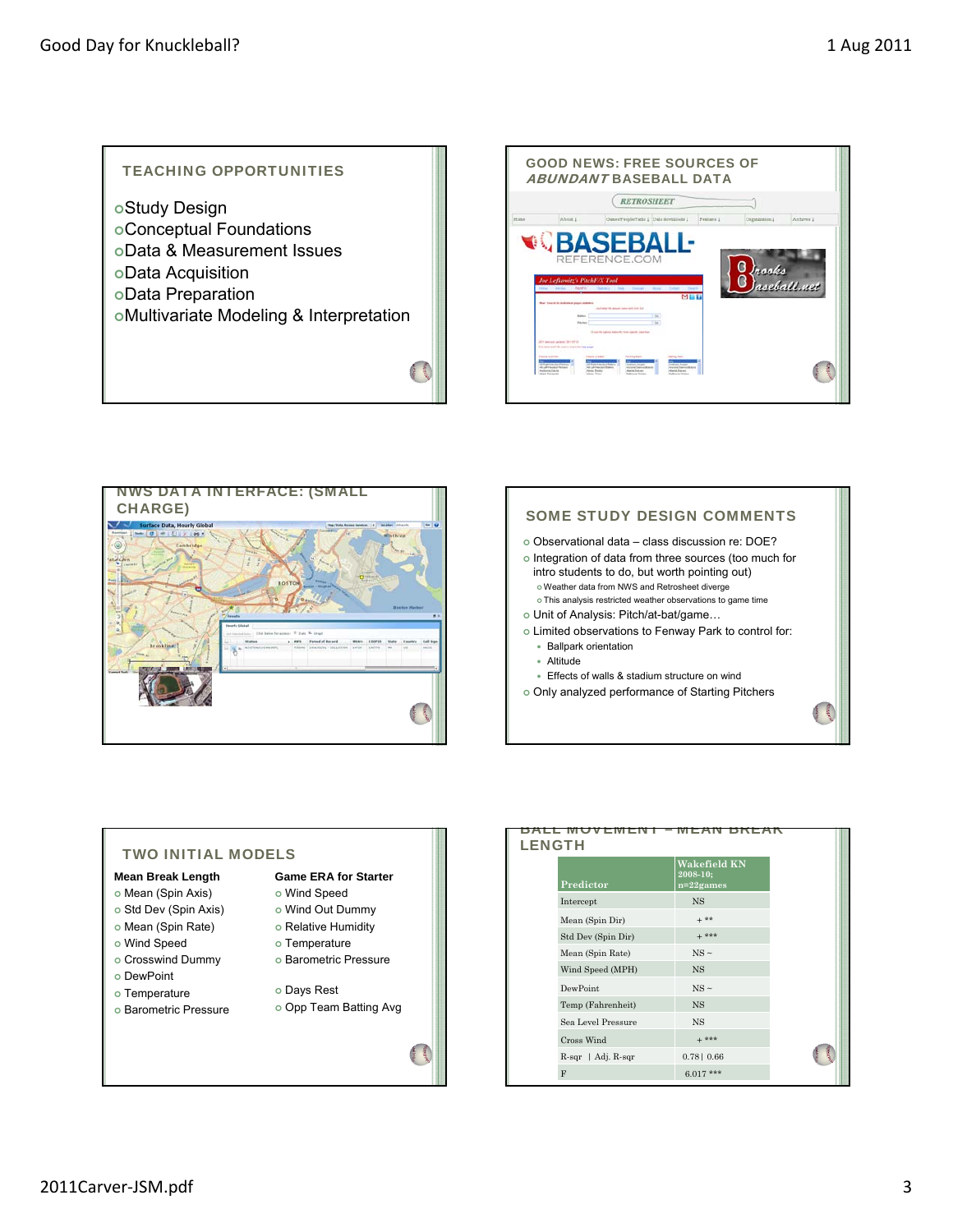# TEACHING OPPORTUNITIES Study Design Conceptual Foundations Data & Measurement Issues Data Acquisition Data Preparation Multivariate Modeling & Interpretation Ġ





# **SOME STUDY DESIGN COMMENTS**  Observational data – class discussion re: DOE? o Integration of data from three sources (too much for intro students to do, but worth pointing out) Weather data from NWS and Retrosheet diverge This analysis restricted weather observations to game time Unit of Analysis: Pitch/at-bat/game… Limited observations to Fenway Park to control for: Ballpark orientation Altitude Effects of walls & stadium structure on wind Only analyzed performance of Starting Pitchers

#### TWO INITIAL MODELS **Mean Break Length**  o Mean (Spin Axis) o Std Dev (Spin Axis) o Mean (Spin Rate) Wind Speed Crosswind Dummy DewPoint o Temperature o Barometric Pressure **Game ERA for Starter** Wind Speed Wind Out Dummy o Relative Humidity o Temperature o Barometric Pressure Days Rest Opp Team Batting Avg

| <b>LENGTH</b> |                          |                                          |  |  |  |
|---------------|--------------------------|------------------------------------------|--|--|--|
|               | Predictor                | Wakefield KN<br>2008-10:<br>$n=22$ games |  |  |  |
|               | Intercept                | <b>NS</b>                                |  |  |  |
|               | Mean (Spin Dir)          | $+ * *$                                  |  |  |  |
|               | Std Dev (Spin Dir)       | $+***$                                   |  |  |  |
|               | Mean (Spin Rate)         | $NS \sim$                                |  |  |  |
|               | Wind Speed (MPH)         | <b>NS</b>                                |  |  |  |
|               | DewPoint                 | $NS \sim$                                |  |  |  |
|               | Temp (Fahrenheit)        | <b>NS</b>                                |  |  |  |
|               | Sea Level Pressure       | <b>NS</b>                                |  |  |  |
|               | Cross Wind               | $+***$                                   |  |  |  |
|               | $R$ -sqr   Adj. $R$ -sqr | $0.78$   0.66                            |  |  |  |
|               | F                        | $6.017***$                               |  |  |  |